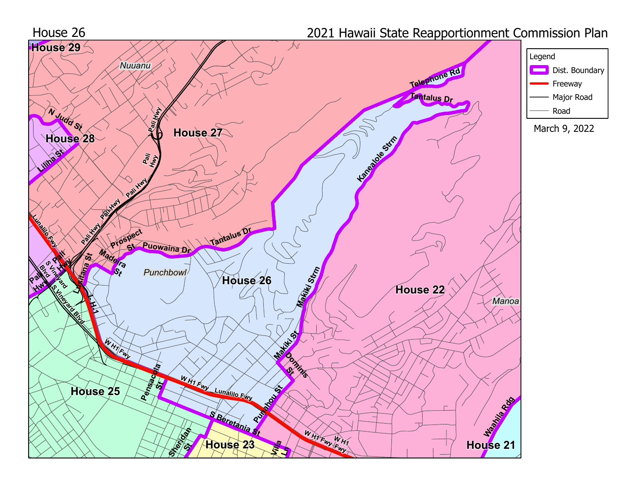